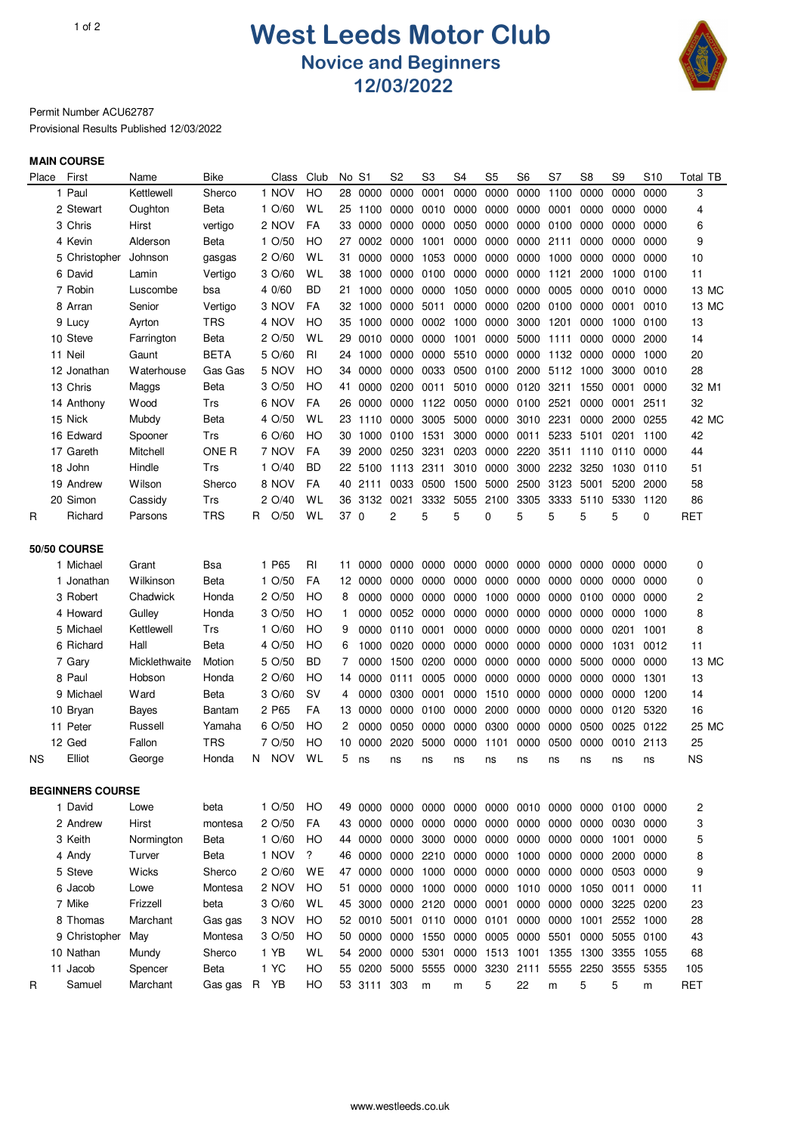## 1of 2 **West Leeds Motor Club Novice and Beginners 12/03/2022**



Permit Number ACU62787 Provisional Results Published 12/03/2022

## **MAIN COURSE**

| Place | First                   | Name          | Bike             | Class            | Club | No   | S1      | S2        | S3             | S4        | S <sub>5</sub> | S6   | S7        | S <sub>8</sub>                          | S9   | S10       | Total TB   |
|-------|-------------------------|---------------|------------------|------------------|------|------|---------|-----------|----------------|-----------|----------------|------|-----------|-----------------------------------------|------|-----------|------------|
|       | 1 Paul                  | Kettlewell    | Sherco           | 1 NOV            | HO   | 28   | 0000    | 0000      | 0001           | 0000      | 0000           | 0000 | 1100      | 0000                                    | 0000 | 0000      | 3          |
|       | 2 Stewart               | Oughton       | Beta             | $1 \frac{O}{60}$ | WL   | 25   | 1100    | 0000      | 0010           | 0000      | 0000           | 0000 | 0001      | 0000                                    | 0000 | 0000      | 4          |
|       | 3 Chris                 | Hirst         | vertigo          | 2 NOV            | FA   | 33   | 0000    | 0000      | 0000           | 0050      | 0000           | 0000 | 0100      | 0000                                    | 0000 | 0000      | 6          |
|       | 4 Kevin                 | Alderson      | Beta             | 1 O/50           | HO   | 27   | 0002    | 0000      | 1001           | 0000      | 0000           | 0000 | 2111      | 0000                                    | 0000 | 0000      | 9          |
|       | 5 Christopher           | Johnson       | gasgas           | 2 O/60           | WL   | 31   | 0000    | 0000      | 1053           | 0000      | 0000           | 0000 | 1000      | 0000                                    | 0000 | 0000      | 10         |
|       | 6 David                 | Lamin         | Vertigo          | 3 O/60           | WL   | 38   | 1000    | 0000      | 0100           | 0000      | 0000           | 0000 | 1121      | 2000                                    | 1000 | 0100      | 11         |
|       | 7 Robin                 | Luscombe      | bsa              | 4 0/60           | BD   | 21   | 1000    | 0000      | 0000           | 1050      | 0000           | 0000 | 0005      | 0000                                    | 0010 | 0000      | 13 MC      |
|       | 8 Arran                 | Senior        | Vertigo          | 3 NOV            | FA   | 32   | 1000    | 0000      | 5011           | 0000      | 0000           | 0200 | 0100      | 0000                                    | 0001 | 0010      | 13 MC      |
|       | 9 Lucy                  | Ayrton        | <b>TRS</b>       | 4 NOV            | HO   | 35   | 1000    | 0000      | 0002           | 1000      | 0000           | 3000 | 1201      | 0000                                    | 1000 | 0100      | 13         |
|       | 10 Steve                | Farrington    | Beta             | 2 O/50           | WL   | 29   | 0010    | 0000      | 0000           | 1001      | 0000           | 5000 | 1111      | 0000                                    | 0000 | 2000      | 14         |
|       | 11 Neil                 | Gaunt         | <b>BETA</b>      | 5 O/60           | RI   | 24   | 1000    | 0000      | 0000           | 5510      | 0000           | 0000 |           | 1132 0000                               | 0000 | 1000      | 20         |
|       | 12 Jonathan             | Waterhouse    | Gas Gas          | 5 NOV            | HO   | 34   | 0000    | 0000      | 0033           | 0500      | 0100           | 2000 | 5112      | 1000                                    | 3000 | 0010      | 28         |
|       | 13 Chris                | Maggs         | Beta             | 3 O/50           | HO   | 41   | 0000    | 0200      | 0011           | 5010      | 0000           | 0120 | 3211      | 1550                                    | 0001 | 0000      | 32 M1      |
|       | 14 Anthony              | Wood          | Trs              | 6 NOV            | FA   | 26   | 0000    | 0000      | 1122           | 0050      | 0000           | 0100 | 2521      | 0000                                    | 0001 | 2511      | 32         |
|       | 15 Nick                 | Mubdy         | Beta             | 4 O/50           | WL   | 23   | 1110    | 0000      | 3005           | 5000      | 0000           | 3010 | 2231      | 0000                                    | 2000 | 0255      | 42 MC      |
|       | 16 Edward               | Spooner       | Trs              | 6 O/60           | HO   | 30   | 1000    | 0100      | 1531           | 3000      | 0000           | 0011 | 5233      | 5101                                    | 0201 | 1100      | 42         |
|       | 17 Gareth               | Mitchell      | ONE <sub>R</sub> | 7 NOV            | FA   | 39   | 2000    | 0250      | 3231           | 0203      | 0000           | 2220 | 3511      | 1110                                    | 0110 | 0000      | 44         |
|       | 18 John                 | Hindle        | Trs              | $1$ O/40         | BD   | 22   | 5100    | 1113      | 2311           | 3010      | 0000           | 3000 | 2232      | 3250                                    | 1030 | 0110      | 51         |
|       | 19 Andrew               | Wilson        | Sherco           | 8 NOV            | FA   | 40   | 2111    | 0033      | 0500           | 1500      | 5000           | 2500 | 3123      | 5001                                    | 5200 | 2000      | 58         |
|       | 20 Simon                | Cassidy       | Trs              | 2 O/40           | WL   | 36   | 3132    | 0021      | 3332           | 5055      | 2100           | 3305 | 3333      | 5110                                    | 5330 | 1120      | 86         |
| R     | Richard                 | Parsons       | TRS              | O/50<br>R        | WL   | 37 0 |         | 2         | 5              | 5         | 0              | 5    | 5         | 5                                       | 5    | 0         | <b>RET</b> |
|       |                         |               |                  |                  |      |      |         |           |                |           |                |      |           |                                         |      |           |            |
|       | <b>50/50 COURSE</b>     |               |                  |                  |      |      |         |           |                |           |                |      |           |                                         |      |           |            |
|       | 1 Michael               | Grant         | Bsa              | 1 P65            | RI   | 11   | 0000    | 0000      | 0000           | 0000      | 0000           | 0000 | 0000      | 0000                                    | 0000 | 0000      | 0          |
|       | 1 Jonathan              | Wilkinson     | Beta             | 1 O/50           | FA   |      | 12 0000 | 0000      | 0000           | 0000      | 0000           | 0000 | 0000      | 0000                                    | 0000 | 0000      | 0          |
|       | 3 Robert                | Chadwick      | Honda            | 2 O/50           | HO   | 8    | 0000    | 0000      | 0000           | 0000      | 1000           | 0000 | 0000      | 0100                                    | 0000 | 0000      | 2          |
|       | 4 Howard                | Gulley        | Honda            | 3 O/50           | HO   | 1    | 0000    | 0052      | 0000           | 0000      | 0000           | 0000 | 0000      | 0000                                    | 0000 | 1000      | 8          |
|       | 5 Michael               | Kettlewell    | Trs              | $1 \frac{O}{60}$ | HO   | 9    | 0000    | 0110      | 0001           | 0000      | 0000           | 0000 | 0000      | 0000                                    | 0201 | 1001      | 8          |
|       | 6 Richard               | Hall          | Beta             | 4 O/50           | HO   | 6    | 1000    | 0020      | 0000           | 0000      | 0000           | 0000 | 0000      | 0000                                    | 1031 | 0012      | 11         |
|       | 7 Gary                  | Micklethwaite | Motion           | 5 O/50           | BD   | 7    | 0000    | 1500      | 0200           | 0000      | 0000           | 0000 | 0000      | 5000                                    | 0000 | 0000      | 13 MC      |
|       | 8 Paul                  | Hobson        | Honda            | 2 O/60           | HO   | 14   | 0000    | 0111      | 0005           | 0000      | 0000           | 0000 | 0000      | 0000                                    | 0000 | 1301      | 13         |
|       | 9 Michael               | Ward          | Beta             | 3 O/60           | SV   | 4    | 0000    | 0300      | 0001           | 0000      | 1510           | 0000 | 0000      | 0000                                    | 0000 | 1200      | 14         |
|       | 10 Bryan                | Bayes         | Bantam           | 2 P65            | FA   | 13   | 0000    | 0000      | 0100           | 0000      | 2000           | 0000 | 0000      | 0000                                    | 0120 | 5320      | 16         |
|       | 11 Peter                | Russell       | Yamaha           | 6 O/50           | HO   | 2    | 0000    | 0050      | 0000           | 0000      | 0300           | 0000 | 0000      | 0500                                    | 0025 | 0122      | 25 MC      |
|       | 12 Ged                  | Fallon        | TRS              | 7 O/50           | HO   | 10   | 0000    | 2020      | 5000           | 0000      | 1101           | 0000 | 0500      | 0000                                    | 0010 | 2113      | 25         |
| ΝS    | Elliot                  | George        | Honda            | <b>NOV</b><br>N. | WL   | 5    | ns      | ns        | ns             | ns        | ns             | ns   | ns        | ns                                      | ns   | ns        | <b>NS</b>  |
|       |                         |               |                  |                  |      |      |         |           |                |           |                |      |           |                                         |      |           |            |
|       | <b>BEGINNERS COURSE</b> |               |                  |                  |      |      |         |           |                |           |                |      |           |                                         |      |           |            |
|       | 1 David                 | Lowe          | beta             | $1 \frac{O}{50}$ | HO   |      | 49 0000 |           |                |           |                |      |           | 0000 0000 0000 0000 0010 0000 0000 0100 |      | 0000      | 2          |
|       | 2 Andrew                | Hirst         | montesa          | 2 O/50           | FA   |      | 43 0000 |           | 0000 0000      | 0000      | 0000           | 0000 |           | 0000 0000                               | 0030 | 0000      | 3          |
|       | 3 Keith                 | Normington    | Beta             | 1 O/60           | HO   |      | 44 0000 |           | 0000 3000 0000 |           | 0000           | 0000 |           | 0000 0000                               | 1001 | 0000      | 5          |
|       | 4 Andy                  | Turver        | Beta             | 1 NOV            | ?    |      | 46 0000 |           | 0000 2210 0000 |           | 0000           | 1000 |           | 0000 0000                               | 2000 | 0000      | 8          |
|       | 5 Steve                 | Wicks         | Sherco           | 2 O/60           | WE   |      | 47 0000 |           | 0000 1000 0000 |           | 0000           | 0000 |           | 0000 0000                               | 0503 | 0000      | 9          |
|       | 6 Jacob                 | Lowe          | Montesa          | 2 NOV            | HO   |      | 51 0000 |           | 0000 1000      | 0000      | 0000           | 1010 | 0000 1050 |                                         | 0011 | 0000      | 11         |
|       | 7 Mike                  | Frizzell      | beta             | 3 O/60           | WL   | 45   | 3000    |           | 0000 2120      | 0000      | 0001           | 0000 | 0000 0000 |                                         | 3225 | 0200      | 23         |
|       | 8 Thomas                | Marchant      | Gas gas          | 3 NOV            | HO   |      | 52 0010 | 5001      |                | 0110 0000 | 0101           | 0000 | 0000 1001 |                                         |      | 2552 1000 | 28         |
|       | 9 Christopher           | May           | Montesa          | 3 O/50           | HO   |      | 50 0000 |           | 0000 1550      | 0000      | 0005           | 0000 | 5501      | 0000                                    |      | 5055 0100 | 43         |
|       | 10 Nathan               | Mundy         | Sherco           | 1 YB             | WL   |      | 54 2000 | 0000 5301 |                | 0000      | 1513 1001      |      |           | 1355 1300                               |      | 3355 1055 | 68         |
|       | 11 Jacob                | Spencer       | Beta             | 1 YC             | HO   |      | 55 0200 |           | 5000 5555      | 0000      | 3230 2111      |      |           | 5555 2250                               |      | 3555 5355 | 105        |
| R.    | Samuel                  | Marchant      | Gas gas R YB     |                  | HО   |      | 53 3111 | 303       | m              | m         | 5              | 22   | m         | 5                                       | 5    | m         | <b>RET</b> |